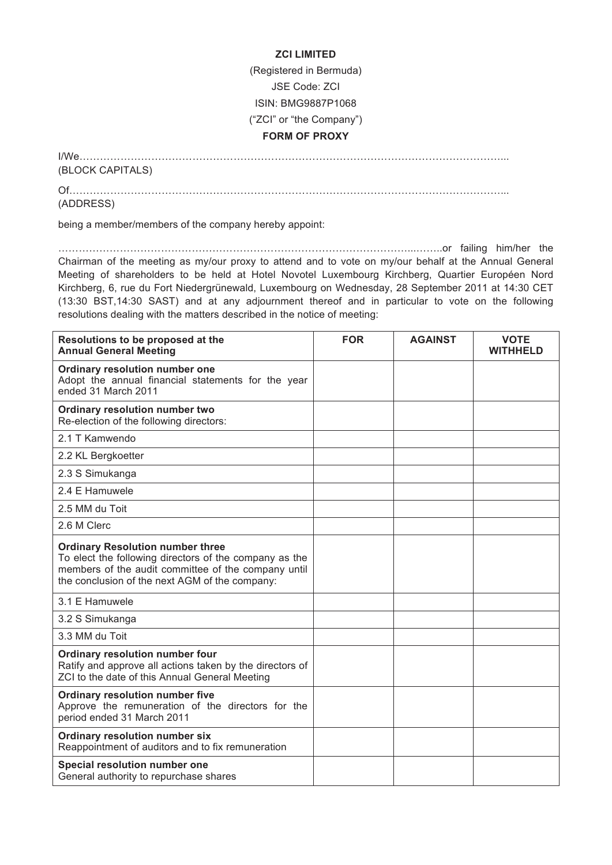## **ZCI LIMITED**

(Registered in Bermuda)

JSE Code: ZCI

ISIN: BMG9887P1068

("ZCI" or "the Company")

## **FORM OF PROXY**

I/We……………………………………………………………………………………………………………...

(BLOCK CAPITALS)

Of………………………………………………………………………………………………………………...

(ADDRESS)

being a member/members of the company hereby appoint:

…………………………………………………………………………………………...……..or failing him/her the Chairman of the meeting as my/our proxy to attend and to vote on my/our behalf at the Annual General Meeting of shareholders to be held at Hotel Novotel Luxembourg Kirchberg, Quartier Européen Nord Kirchberg, 6, rue du Fort Niedergrünewald, Luxembourg on Wednesday, 28 September 2011 at 14:30 CET (13:30 BST,14:30 SAST) and at any adjournment thereof and in particular to vote on the following resolutions dealing with the matters described in the notice of meeting:

| Resolutions to be proposed at the<br><b>Annual General Meeting</b>                                                                                                                                         | <b>FOR</b> | <b>AGAINST</b> | <b>VOTE</b><br><b>WITHHELD</b> |
|------------------------------------------------------------------------------------------------------------------------------------------------------------------------------------------------------------|------------|----------------|--------------------------------|
| Ordinary resolution number one<br>Adopt the annual financial statements for the year<br>ended 31 March 2011                                                                                                |            |                |                                |
| Ordinary resolution number two<br>Re-election of the following directors:                                                                                                                                  |            |                |                                |
| 2.1 T Kamwendo                                                                                                                                                                                             |            |                |                                |
| 2.2 KL Bergkoetter                                                                                                                                                                                         |            |                |                                |
| 2.3 S Simukanga                                                                                                                                                                                            |            |                |                                |
| 24 F Hamuwele                                                                                                                                                                                              |            |                |                                |
| 2.5 MM du Toit                                                                                                                                                                                             |            |                |                                |
| 2.6 M Clerc                                                                                                                                                                                                |            |                |                                |
| <b>Ordinary Resolution number three</b><br>To elect the following directors of the company as the<br>members of the audit committee of the company until<br>the conclusion of the next AGM of the company: |            |                |                                |
| 3.1 E Hamuwele                                                                                                                                                                                             |            |                |                                |
| 3.2 S Simukanga                                                                                                                                                                                            |            |                |                                |
| 3.3 MM du Toit                                                                                                                                                                                             |            |                |                                |
| Ordinary resolution number four<br>Ratify and approve all actions taken by the directors of<br>ZCI to the date of this Annual General Meeting                                                              |            |                |                                |
| Ordinary resolution number five<br>Approve the remuneration of the directors for the<br>period ended 31 March 2011                                                                                         |            |                |                                |
| Ordinary resolution number six<br>Reappointment of auditors and to fix remuneration                                                                                                                        |            |                |                                |
| Special resolution number one<br>General authority to repurchase shares                                                                                                                                    |            |                |                                |